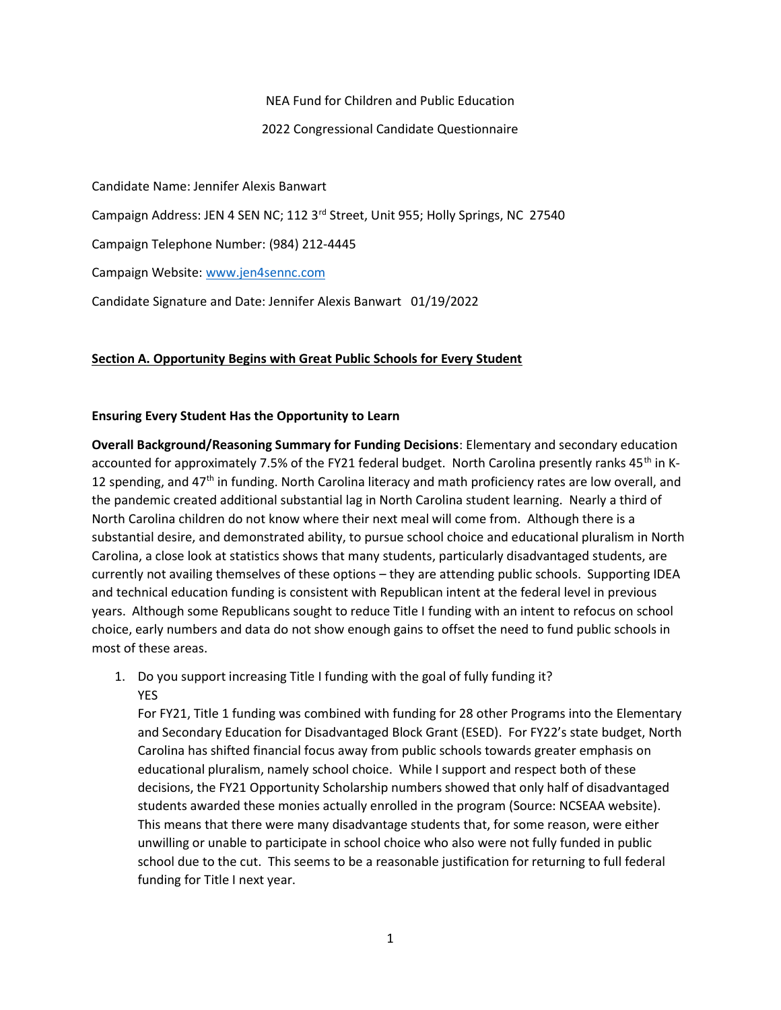NEA Fund for Children and Public Education

2022 Congressional Candidate Questionnaire

Candidate Name: Jennifer Alexis Banwart Campaign Address: JEN 4 SEN NC; 112 3<sup>rd</sup> Street, Unit 955; Holly Springs, NC 27540 Campaign Telephone Number: (984) 212-4445 Campaign Website: www.jen4sennc.com Candidate Signature and Date: Jennifer Alexis Banwart 01/19/2022

### Section A. Opportunity Begins with Great Public Schools for Every Student

### Ensuring Every Student Has the Opportunity to Learn

Overall Background/Reasoning Summary for Funding Decisions: Elementary and secondary education accounted for approximately 7.5% of the FY21 federal budget. North Carolina presently ranks 45<sup>th</sup> in K-12 spending, and  $47<sup>th</sup>$  in funding. North Carolina literacy and math proficiency rates are low overall, and the pandemic created additional substantial lag in North Carolina student learning. Nearly a third of North Carolina children do not know where their next meal will come from. Although there is a substantial desire, and demonstrated ability, to pursue school choice and educational pluralism in North Carolina, a close look at statistics shows that many students, particularly disadvantaged students, are currently not availing themselves of these options – they are attending public schools. Supporting IDEA and technical education funding is consistent with Republican intent at the federal level in previous years. Although some Republicans sought to reduce Title I funding with an intent to refocus on school choice, early numbers and data do not show enough gains to offset the need to fund public schools in most of these areas.

1. Do you support increasing Title I funding with the goal of fully funding it? YES

For FY21, Title 1 funding was combined with funding for 28 other Programs into the Elementary and Secondary Education for Disadvantaged Block Grant (ESED). For FY22's state budget, North Carolina has shifted financial focus away from public schools towards greater emphasis on educational pluralism, namely school choice. While I support and respect both of these decisions, the FY21 Opportunity Scholarship numbers showed that only half of disadvantaged students awarded these monies actually enrolled in the program (Source: NCSEAA website). This means that there were many disadvantage students that, for some reason, were either unwilling or unable to participate in school choice who also were not fully funded in public school due to the cut. This seems to be a reasonable justification for returning to full federal funding for Title I next year.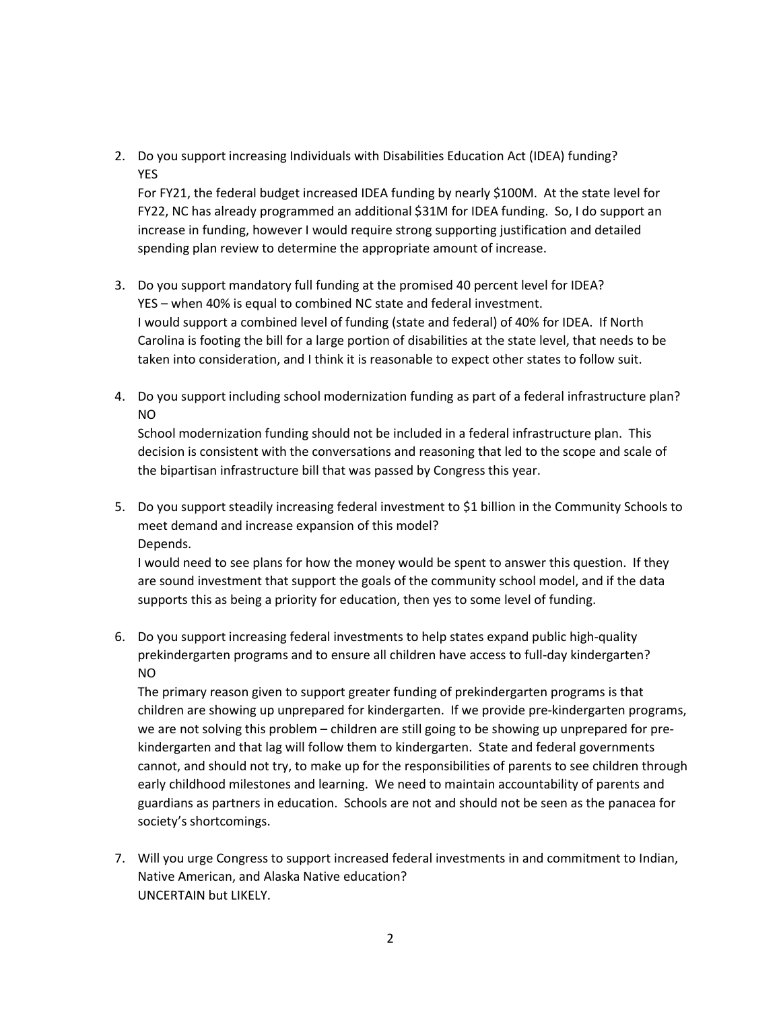2. Do you support increasing Individuals with Disabilities Education Act (IDEA) funding? YES

For FY21, the federal budget increased IDEA funding by nearly \$100M. At the state level for FY22, NC has already programmed an additional \$31M for IDEA funding. So, I do support an increase in funding, however I would require strong supporting justification and detailed spending plan review to determine the appropriate amount of increase.

- 3. Do you support mandatory full funding at the promised 40 percent level for IDEA? YES – when 40% is equal to combined NC state and federal investment. I would support a combined level of funding (state and federal) of 40% for IDEA. If North Carolina is footing the bill for a large portion of disabilities at the state level, that needs to be taken into consideration, and I think it is reasonable to expect other states to follow suit.
- 4. Do you support including school modernization funding as part of a federal infrastructure plan? NO

School modernization funding should not be included in a federal infrastructure plan. This decision is consistent with the conversations and reasoning that led to the scope and scale of the bipartisan infrastructure bill that was passed by Congress this year.

5. Do you support steadily increasing federal investment to \$1 billion in the Community Schools to meet demand and increase expansion of this model? Depends.

I would need to see plans for how the money would be spent to answer this question. If they are sound investment that support the goals of the community school model, and if the data supports this as being a priority for education, then yes to some level of funding.

6. Do you support increasing federal investments to help states expand public high-quality prekindergarten programs and to ensure all children have access to full-day kindergarten? NO

The primary reason given to support greater funding of prekindergarten programs is that children are showing up unprepared for kindergarten. If we provide pre-kindergarten programs, we are not solving this problem – children are still going to be showing up unprepared for prekindergarten and that lag will follow them to kindergarten. State and federal governments cannot, and should not try, to make up for the responsibilities of parents to see children through early childhood milestones and learning. We need to maintain accountability of parents and guardians as partners in education. Schools are not and should not be seen as the panacea for society's shortcomings.

7. Will you urge Congress to support increased federal investments in and commitment to Indian, Native American, and Alaska Native education? UNCERTAIN but LIKELY.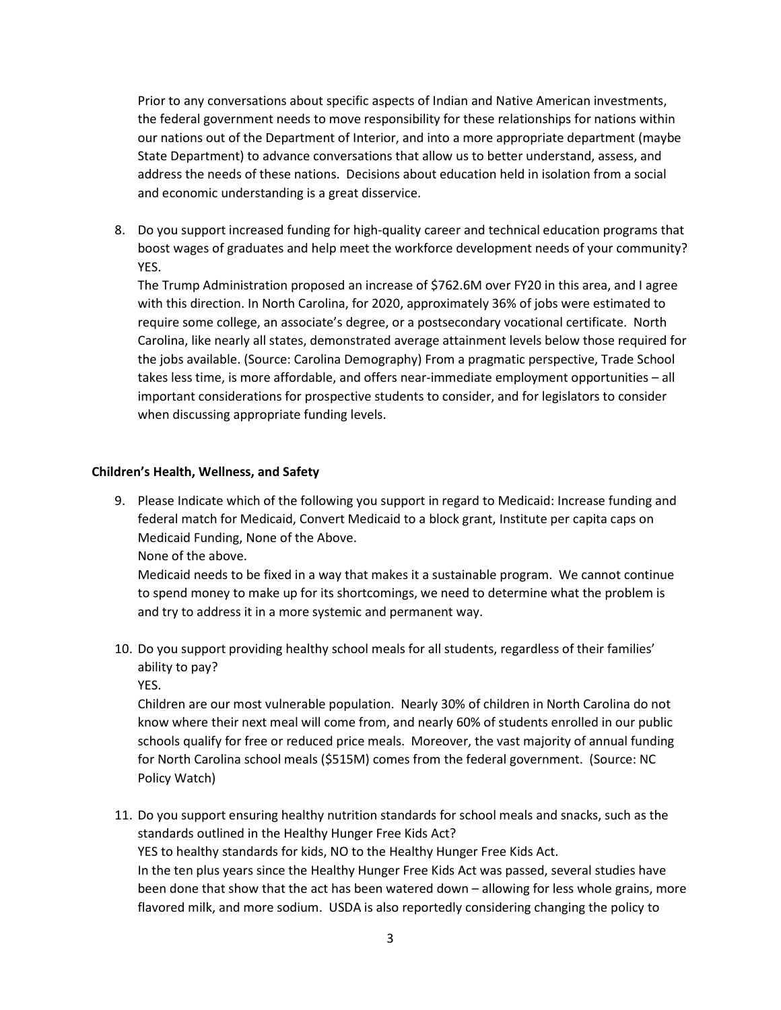Prior to any conversations about specific aspects of Indian and Native American investments, the federal government needs to move responsibility for these relationships for nations within our nations out of the Department of Interior, and into a more appropriate department (maybe State Department) to advance conversations that allow us to better understand, assess, and address the needs of these nations. Decisions about education held in isolation from a social and economic understanding is a great disservice.

8. Do you support increased funding for high-quality career and technical education programs that boost wages of graduates and help meet the workforce development needs of your community? YES.

The Trump Administration proposed an increase of \$762.6M over FY20 in this area, and I agree with this direction. In North Carolina, for 2020, approximately 36% of jobs were estimated to require some college, an associate's degree, or a postsecondary vocational certificate. North Carolina, like nearly all states, demonstrated average attainment levels below those required for the jobs available. (Source: Carolina Demography) From a pragmatic perspective, Trade School takes less time, is more affordable, and offers near-immediate employment opportunities – all important considerations for prospective students to consider, and for legislators to consider when discussing appropriate funding levels.

### Children's Health, Wellness, and Safety

9. Please Indicate which of the following you support in regard to Medicaid: Increase funding and federal match for Medicaid, Convert Medicaid to a block grant, Institute per capita caps on Medicaid Funding, None of the Above.

None of the above.

Medicaid needs to be fixed in a way that makes it a sustainable program. We cannot continue to spend money to make up for its shortcomings, we need to determine what the problem is and try to address it in a more systemic and permanent way.

10. Do you support providing healthy school meals for all students, regardless of their families' ability to pay?

YES.

Children are our most vulnerable population. Nearly 30% of children in North Carolina do not know where their next meal will come from, and nearly 60% of students enrolled in our public schools qualify for free or reduced price meals. Moreover, the vast majority of annual funding for North Carolina school meals (\$515M) comes from the federal government. (Source: NC Policy Watch)

11. Do you support ensuring healthy nutrition standards for school meals and snacks, such as the standards outlined in the Healthy Hunger Free Kids Act? YES to healthy standards for kids, NO to the Healthy Hunger Free Kids Act. In the ten plus years since the Healthy Hunger Free Kids Act was passed, several studies have been done that show that the act has been watered down – allowing for less whole grains, more flavored milk, and more sodium. USDA is also reportedly considering changing the policy to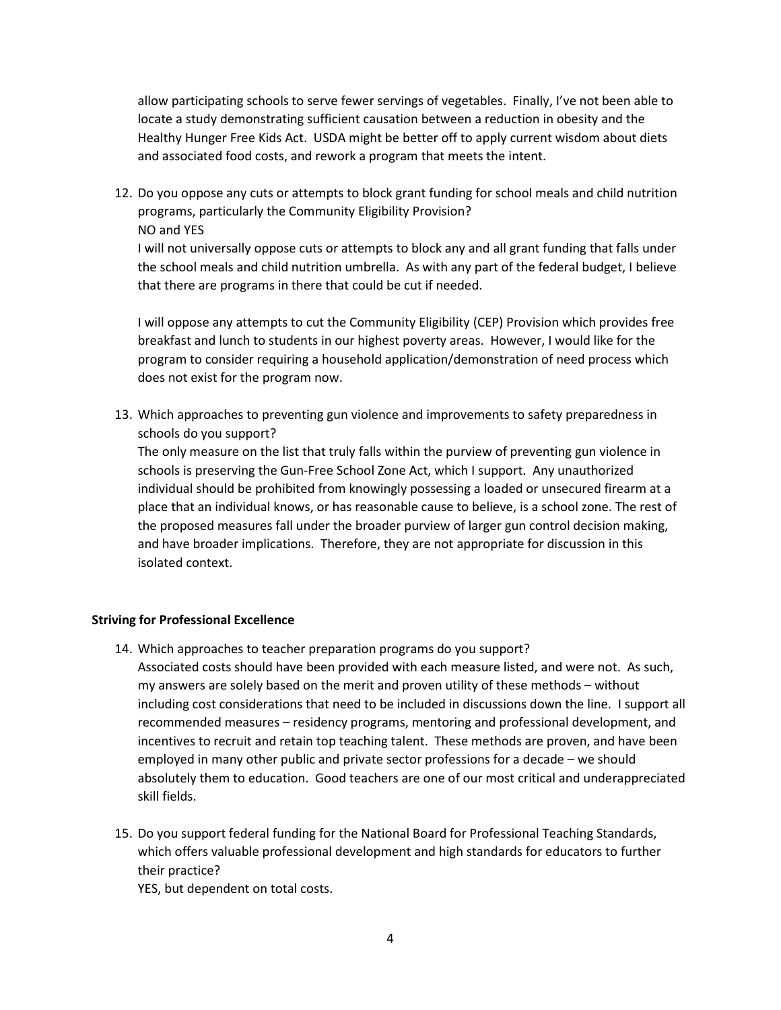allow participating schools to serve fewer servings of vegetables. Finally, I've not been able to locate a study demonstrating sufficient causation between a reduction in obesity and the Healthy Hunger Free Kids Act. USDA might be better off to apply current wisdom about diets and associated food costs, and rework a program that meets the intent.

12. Do you oppose any cuts or attempts to block grant funding for school meals and child nutrition programs, particularly the Community Eligibility Provision? NO and YES

I will not universally oppose cuts or attempts to block any and all grant funding that falls under the school meals and child nutrition umbrella. As with any part of the federal budget, I believe that there are programs in there that could be cut if needed.

I will oppose any attempts to cut the Community Eligibility (CEP) Provision which provides free breakfast and lunch to students in our highest poverty areas. However, I would like for the program to consider requiring a household application/demonstration of need process which does not exist for the program now.

13. Which approaches to preventing gun violence and improvements to safety preparedness in schools do you support?

The only measure on the list that truly falls within the purview of preventing gun violence in schools is preserving the Gun-Free School Zone Act, which I support. Any unauthorized individual should be prohibited from knowingly possessing a loaded or unsecured firearm at a place that an individual knows, or has reasonable cause to believe, is a school zone. The rest of the proposed measures fall under the broader purview of larger gun control decision making, and have broader implications. Therefore, they are not appropriate for discussion in this isolated context.

### Striving for Professional Excellence

- 14. Which approaches to teacher preparation programs do you support? Associated costs should have been provided with each measure listed, and were not. As such, my answers are solely based on the merit and proven utility of these methods – without including cost considerations that need to be included in discussions down the line. I support all recommended measures – residency programs, mentoring and professional development, and incentives to recruit and retain top teaching talent. These methods are proven, and have been employed in many other public and private sector professions for a decade – we should absolutely them to education. Good teachers are one of our most critical and underappreciated skill fields.
- 15. Do you support federal funding for the National Board for Professional Teaching Standards, which offers valuable professional development and high standards for educators to further their practice?

YES, but dependent on total costs.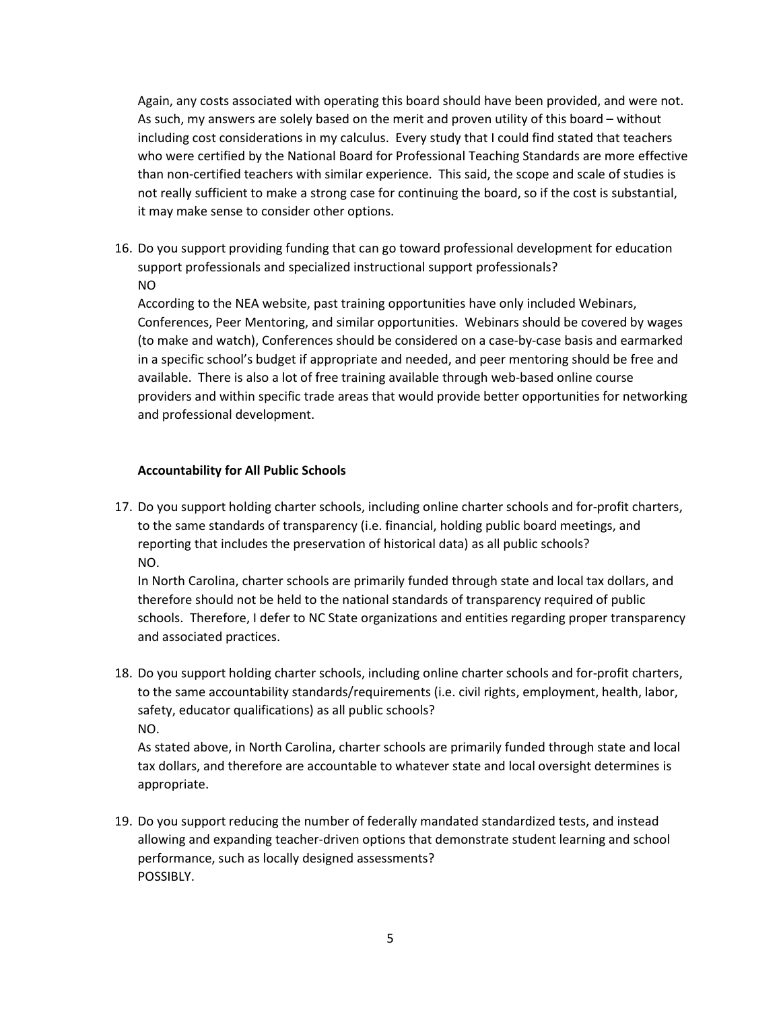Again, any costs associated with operating this board should have been provided, and were not. As such, my answers are solely based on the merit and proven utility of this board – without including cost considerations in my calculus. Every study that I could find stated that teachers who were certified by the National Board for Professional Teaching Standards are more effective than non-certified teachers with similar experience. This said, the scope and scale of studies is not really sufficient to make a strong case for continuing the board, so if the cost is substantial, it may make sense to consider other options.

16. Do you support providing funding that can go toward professional development for education support professionals and specialized instructional support professionals? NO

According to the NEA website, past training opportunities have only included Webinars, Conferences, Peer Mentoring, and similar opportunities. Webinars should be covered by wages (to make and watch), Conferences should be considered on a case-by-case basis and earmarked in a specific school's budget if appropriate and needed, and peer mentoring should be free and available. There is also a lot of free training available through web-based online course providers and within specific trade areas that would provide better opportunities for networking and professional development.

# Accountability for All Public Schools

17. Do you support holding charter schools, including online charter schools and for-profit charters, to the same standards of transparency (i.e. financial, holding public board meetings, and reporting that includes the preservation of historical data) as all public schools? NO.

In North Carolina, charter schools are primarily funded through state and local tax dollars, and therefore should not be held to the national standards of transparency required of public schools. Therefore, I defer to NC State organizations and entities regarding proper transparency and associated practices.

18. Do you support holding charter schools, including online charter schools and for-profit charters, to the same accountability standards/requirements (i.e. civil rights, employment, health, labor, safety, educator qualifications) as all public schools? NO.

As stated above, in North Carolina, charter schools are primarily funded through state and local tax dollars, and therefore are accountable to whatever state and local oversight determines is appropriate.

19. Do you support reducing the number of federally mandated standardized tests, and instead allowing and expanding teacher-driven options that demonstrate student learning and school performance, such as locally designed assessments? POSSIBLY.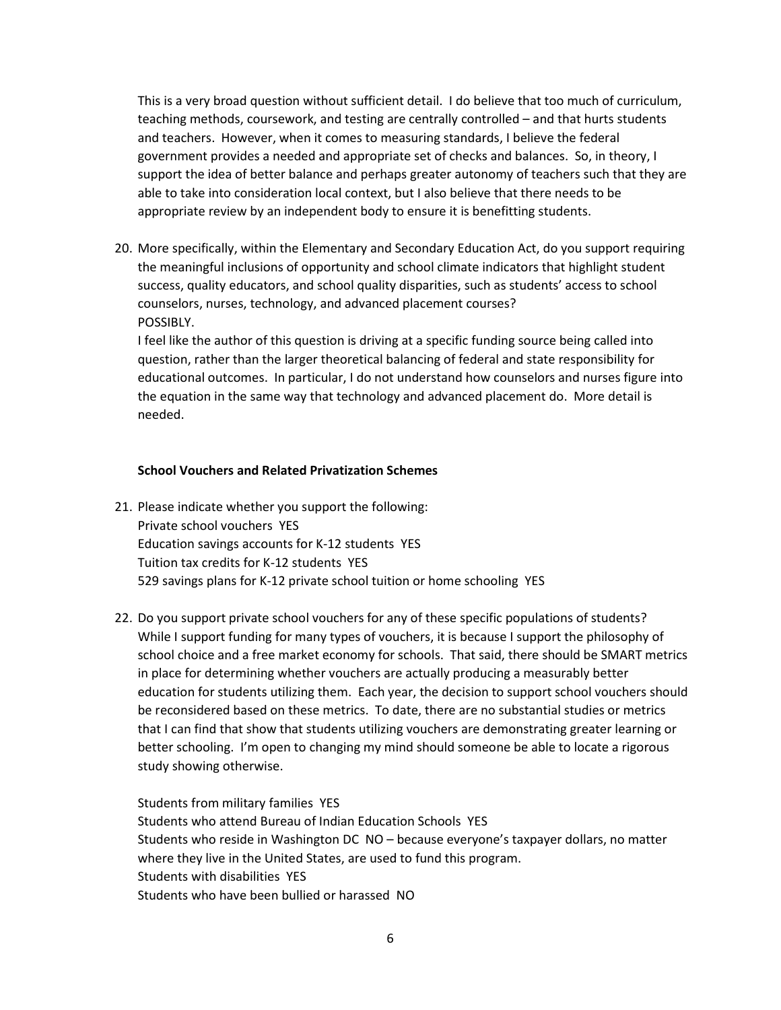This is a very broad question without sufficient detail. I do believe that too much of curriculum, teaching methods, coursework, and testing are centrally controlled – and that hurts students and teachers. However, when it comes to measuring standards, I believe the federal government provides a needed and appropriate set of checks and balances. So, in theory, I support the idea of better balance and perhaps greater autonomy of teachers such that they are able to take into consideration local context, but I also believe that there needs to be appropriate review by an independent body to ensure it is benefitting students.

20. More specifically, within the Elementary and Secondary Education Act, do you support requiring the meaningful inclusions of opportunity and school climate indicators that highlight student success, quality educators, and school quality disparities, such as students' access to school counselors, nurses, technology, and advanced placement courses? POSSIBLY.

I feel like the author of this question is driving at a specific funding source being called into question, rather than the larger theoretical balancing of federal and state responsibility for educational outcomes. In particular, I do not understand how counselors and nurses figure into the equation in the same way that technology and advanced placement do. More detail is needed.

### School Vouchers and Related Privatization Schemes

- 21. Please indicate whether you support the following: Private school vouchers YES Education savings accounts for K-12 students YES Tuition tax credits for K-12 students YES 529 savings plans for K-12 private school tuition or home schooling YES
- 22. Do you support private school vouchers for any of these specific populations of students? While I support funding for many types of vouchers, it is because I support the philosophy of school choice and a free market economy for schools. That said, there should be SMART metrics in place for determining whether vouchers are actually producing a measurably better education for students utilizing them. Each year, the decision to support school vouchers should be reconsidered based on these metrics. To date, there are no substantial studies or metrics that I can find that show that students utilizing vouchers are demonstrating greater learning or better schooling. I'm open to changing my mind should someone be able to locate a rigorous study showing otherwise.

Students from military families YES Students who attend Bureau of Indian Education Schools YES Students who reside in Washington DC NO – because everyone's taxpayer dollars, no matter where they live in the United States, are used to fund this program. Students with disabilities YES Students who have been bullied or harassed NO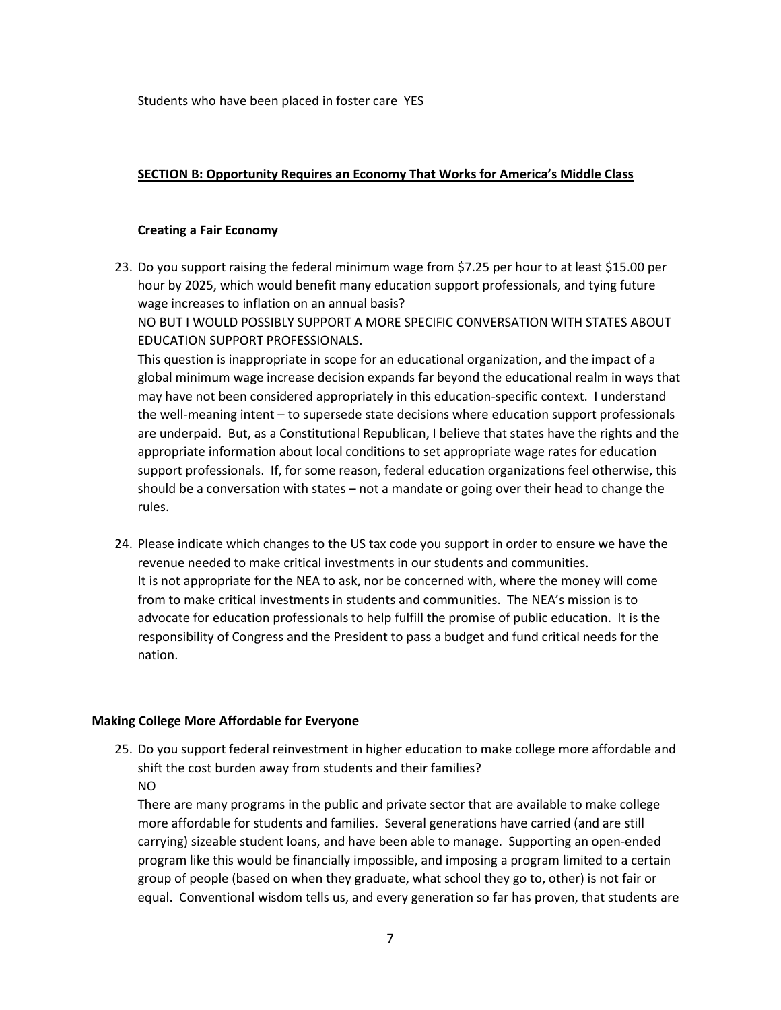Students who have been placed in foster care YES

### SECTION B: Opportunity Requires an Economy That Works for America's Middle Class

#### Creating a Fair Economy

23. Do you support raising the federal minimum wage from \$7.25 per hour to at least \$15.00 per hour by 2025, which would benefit many education support professionals, and tying future wage increases to inflation on an annual basis?

NO BUT I WOULD POSSIBLY SUPPORT A MORE SPECIFIC CONVERSATION WITH STATES ABOUT EDUCATION SUPPORT PROFESSIONALS.

This question is inappropriate in scope for an educational organization, and the impact of a global minimum wage increase decision expands far beyond the educational realm in ways that may have not been considered appropriately in this education-specific context. I understand the well-meaning intent – to supersede state decisions where education support professionals are underpaid. But, as a Constitutional Republican, I believe that states have the rights and the appropriate information about local conditions to set appropriate wage rates for education support professionals. If, for some reason, federal education organizations feel otherwise, this should be a conversation with states – not a mandate or going over their head to change the rules.

24. Please indicate which changes to the US tax code you support in order to ensure we have the revenue needed to make critical investments in our students and communities. It is not appropriate for the NEA to ask, nor be concerned with, where the money will come from to make critical investments in students and communities. The NEA's mission is to advocate for education professionals to help fulfill the promise of public education. It is the responsibility of Congress and the President to pass a budget and fund critical needs for the nation.

#### Making College More Affordable for Everyone

25. Do you support federal reinvestment in higher education to make college more affordable and shift the cost burden away from students and their families? NO

There are many programs in the public and private sector that are available to make college more affordable for students and families. Several generations have carried (and are still carrying) sizeable student loans, and have been able to manage. Supporting an open-ended program like this would be financially impossible, and imposing a program limited to a certain group of people (based on when they graduate, what school they go to, other) is not fair or equal. Conventional wisdom tells us, and every generation so far has proven, that students are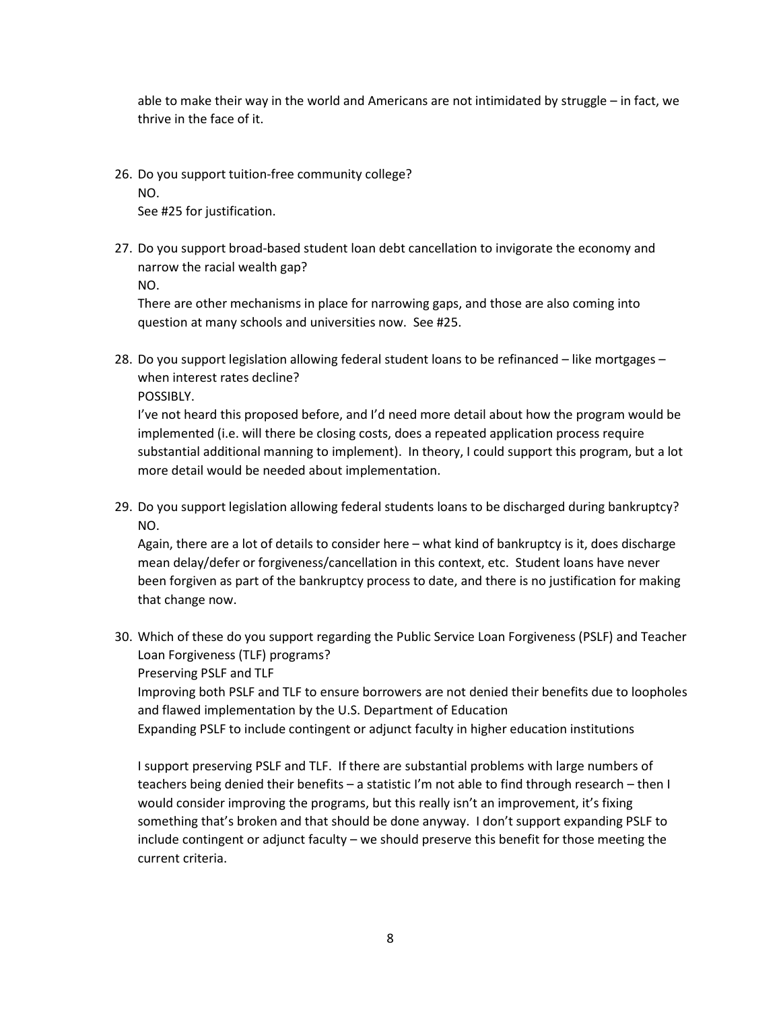able to make their way in the world and Americans are not intimidated by struggle – in fact, we thrive in the face of it.

26. Do you support tuition-free community college?

NO.

See #25 for justification.

27. Do you support broad-based student loan debt cancellation to invigorate the economy and narrow the racial wealth gap? NO.

There are other mechanisms in place for narrowing gaps, and those are also coming into question at many schools and universities now. See #25.

28. Do you support legislation allowing federal student loans to be refinanced – like mortgages – when interest rates decline?

POSSIBLY.

I've not heard this proposed before, and I'd need more detail about how the program would be implemented (i.e. will there be closing costs, does a repeated application process require substantial additional manning to implement). In theory, I could support this program, but a lot more detail would be needed about implementation.

29. Do you support legislation allowing federal students loans to be discharged during bankruptcy? NO.

Again, there are a lot of details to consider here – what kind of bankruptcy is it, does discharge mean delay/defer or forgiveness/cancellation in this context, etc. Student loans have never been forgiven as part of the bankruptcy process to date, and there is no justification for making that change now.

30. Which of these do you support regarding the Public Service Loan Forgiveness (PSLF) and Teacher Loan Forgiveness (TLF) programs?

Preserving PSLF and TLF

Improving both PSLF and TLF to ensure borrowers are not denied their benefits due to loopholes and flawed implementation by the U.S. Department of Education

Expanding PSLF to include contingent or adjunct faculty in higher education institutions

I support preserving PSLF and TLF. If there are substantial problems with large numbers of teachers being denied their benefits – a statistic I'm not able to find through research – then I would consider improving the programs, but this really isn't an improvement, it's fixing something that's broken and that should be done anyway. I don't support expanding PSLF to include contingent or adjunct faculty – we should preserve this benefit for those meeting the current criteria.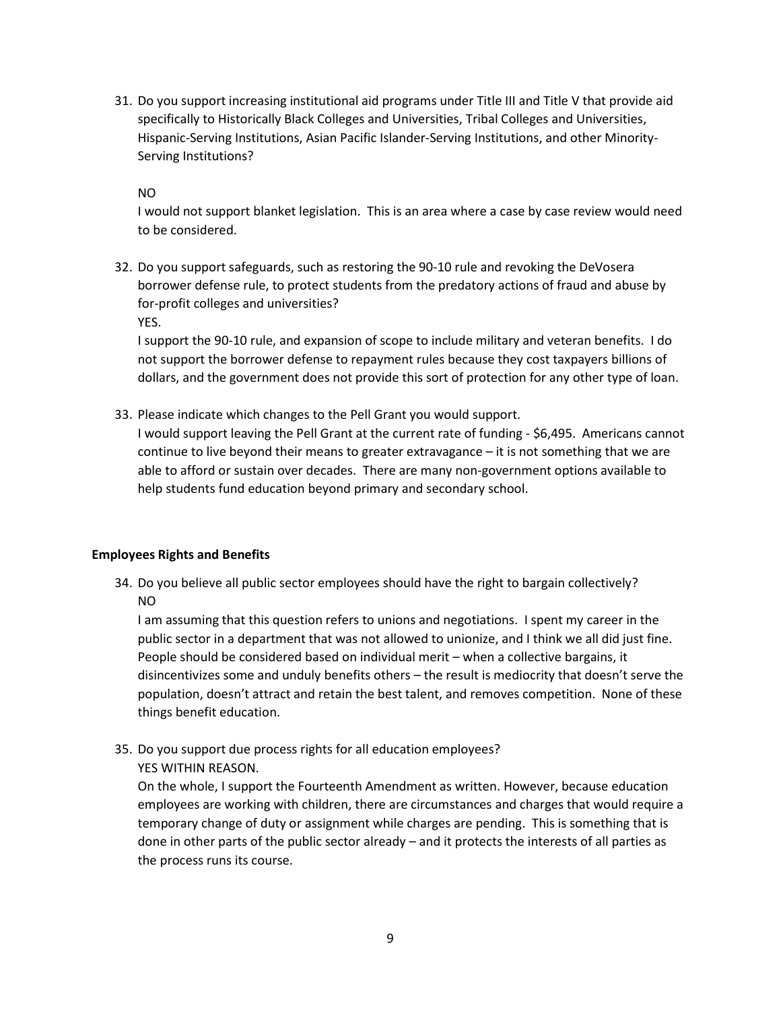31. Do you support increasing institutional aid programs under Title III and Title V that provide aid specifically to Historically Black Colleges and Universities, Tribal Colleges and Universities, Hispanic-Serving Institutions, Asian Pacific Islander-Serving Institutions, and other Minority-Serving Institutions?

NO

I would not support blanket legislation. This is an area where a case by case review would need to be considered.

32. Do you support safeguards, such as restoring the 90-10 rule and revoking the DeVosera borrower defense rule, to protect students from the predatory actions of fraud and abuse by for-profit colleges and universities? YES.

I support the 90-10 rule, and expansion of scope to include military and veteran benefits. I do not support the borrower defense to repayment rules because they cost taxpayers billions of dollars, and the government does not provide this sort of protection for any other type of loan.

33. Please indicate which changes to the Pell Grant you would support.

I would support leaving the Pell Grant at the current rate of funding - \$6,495. Americans cannot continue to live beyond their means to greater extravagance – it is not something that we are able to afford or sustain over decades. There are many non-government options available to help students fund education beyond primary and secondary school.

### Employees Rights and Benefits

34. Do you believe all public sector employees should have the right to bargain collectively? NO

I am assuming that this question refers to unions and negotiations. I spent my career in the public sector in a department that was not allowed to unionize, and I think we all did just fine. People should be considered based on individual merit – when a collective bargains, it disincentivizes some and unduly benefits others – the result is mediocrity that doesn't serve the population, doesn't attract and retain the best talent, and removes competition. None of these things benefit education.

35. Do you support due process rights for all education employees? YES WITHIN REASON.

On the whole, I support the Fourteenth Amendment as written. However, because education employees are working with children, there are circumstances and charges that would require a temporary change of duty or assignment while charges are pending. This is something that is done in other parts of the public sector already – and it protects the interests of all parties as the process runs its course.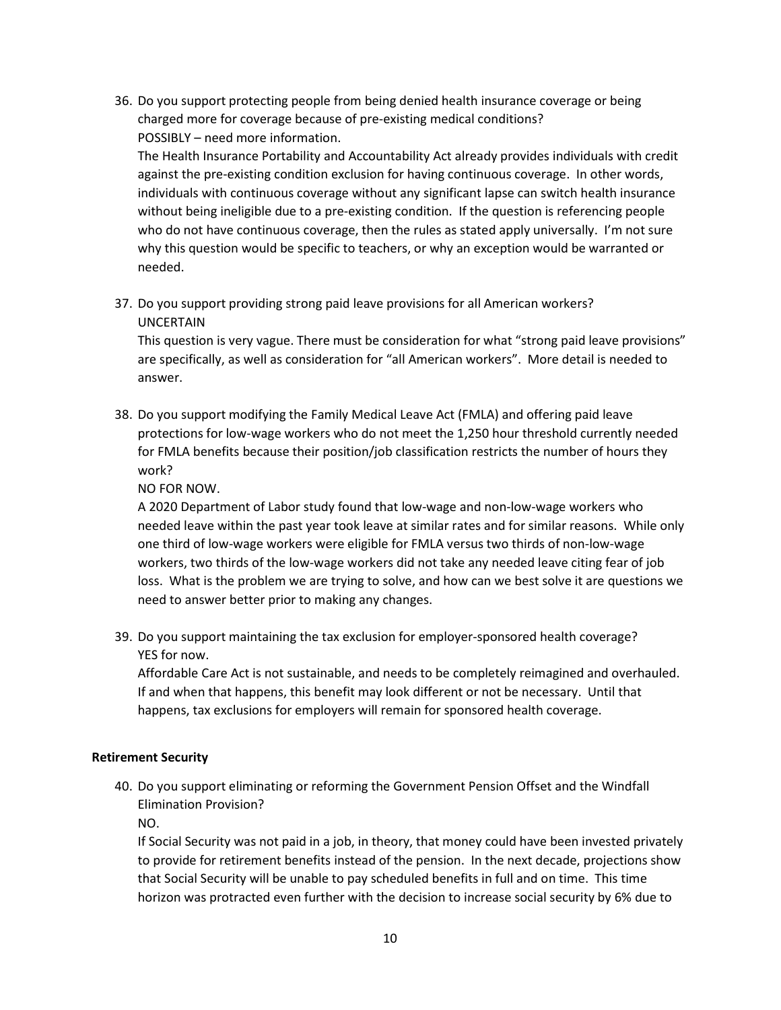36. Do you support protecting people from being denied health insurance coverage or being charged more for coverage because of pre-existing medical conditions? POSSIBLY – need more information.

The Health Insurance Portability and Accountability Act already provides individuals with credit against the pre-existing condition exclusion for having continuous coverage. In other words, individuals with continuous coverage without any significant lapse can switch health insurance without being ineligible due to a pre-existing condition. If the question is referencing people who do not have continuous coverage, then the rules as stated apply universally. I'm not sure why this question would be specific to teachers, or why an exception would be warranted or needed.

37. Do you support providing strong paid leave provisions for all American workers? UNCERTAIN

This question is very vague. There must be consideration for what "strong paid leave provisions" are specifically, as well as consideration for "all American workers". More detail is needed to answer.

38. Do you support modifying the Family Medical Leave Act (FMLA) and offering paid leave protections for low-wage workers who do not meet the 1,250 hour threshold currently needed for FMLA benefits because their position/job classification restricts the number of hours they work?

NO FOR NOW.

A 2020 Department of Labor study found that low-wage and non-low-wage workers who needed leave within the past year took leave at similar rates and for similar reasons. While only one third of low-wage workers were eligible for FMLA versus two thirds of non-low-wage workers, two thirds of the low-wage workers did not take any needed leave citing fear of job loss. What is the problem we are trying to solve, and how can we best solve it are questions we need to answer better prior to making any changes.

39. Do you support maintaining the tax exclusion for employer-sponsored health coverage? YES for now.

Affordable Care Act is not sustainable, and needs to be completely reimagined and overhauled. If and when that happens, this benefit may look different or not be necessary. Until that happens, tax exclusions for employers will remain for sponsored health coverage.

### Retirement Security

40. Do you support eliminating or reforming the Government Pension Offset and the Windfall Elimination Provision?

NO.

If Social Security was not paid in a job, in theory, that money could have been invested privately to provide for retirement benefits instead of the pension. In the next decade, projections show that Social Security will be unable to pay scheduled benefits in full and on time. This time horizon was protracted even further with the decision to increase social security by 6% due to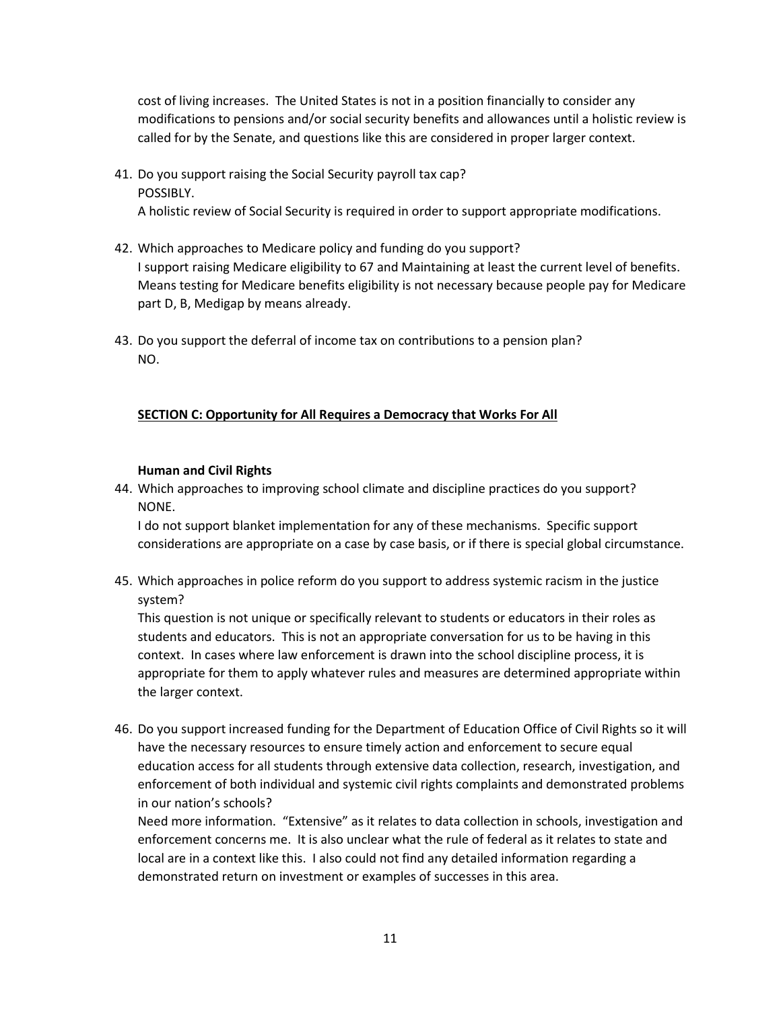cost of living increases. The United States is not in a position financially to consider any modifications to pensions and/or social security benefits and allowances until a holistic review is called for by the Senate, and questions like this are considered in proper larger context.

# 41. Do you support raising the Social Security payroll tax cap? POSSIBLY. A holistic review of Social Security is required in order to support appropriate modifications.

- 42. Which approaches to Medicare policy and funding do you support? I support raising Medicare eligibility to 67 and Maintaining at least the current level of benefits. Means testing for Medicare benefits eligibility is not necessary because people pay for Medicare part D, B, Medigap by means already.
- 43. Do you support the deferral of income tax on contributions to a pension plan? NO.

# SECTION C: Opportunity for All Requires a Democracy that Works For All

### Human and Civil Rights

44. Which approaches to improving school climate and discipline practices do you support? NONE.

I do not support blanket implementation for any of these mechanisms. Specific support considerations are appropriate on a case by case basis, or if there is special global circumstance.

45. Which approaches in police reform do you support to address systemic racism in the justice system?

This question is not unique or specifically relevant to students or educators in their roles as students and educators. This is not an appropriate conversation for us to be having in this context. In cases where law enforcement is drawn into the school discipline process, it is appropriate for them to apply whatever rules and measures are determined appropriate within the larger context.

46. Do you support increased funding for the Department of Education Office of Civil Rights so it will have the necessary resources to ensure timely action and enforcement to secure equal education access for all students through extensive data collection, research, investigation, and enforcement of both individual and systemic civil rights complaints and demonstrated problems in our nation's schools?

Need more information. "Extensive" as it relates to data collection in schools, investigation and enforcement concerns me. It is also unclear what the rule of federal as it relates to state and local are in a context like this. I also could not find any detailed information regarding a demonstrated return on investment or examples of successes in this area.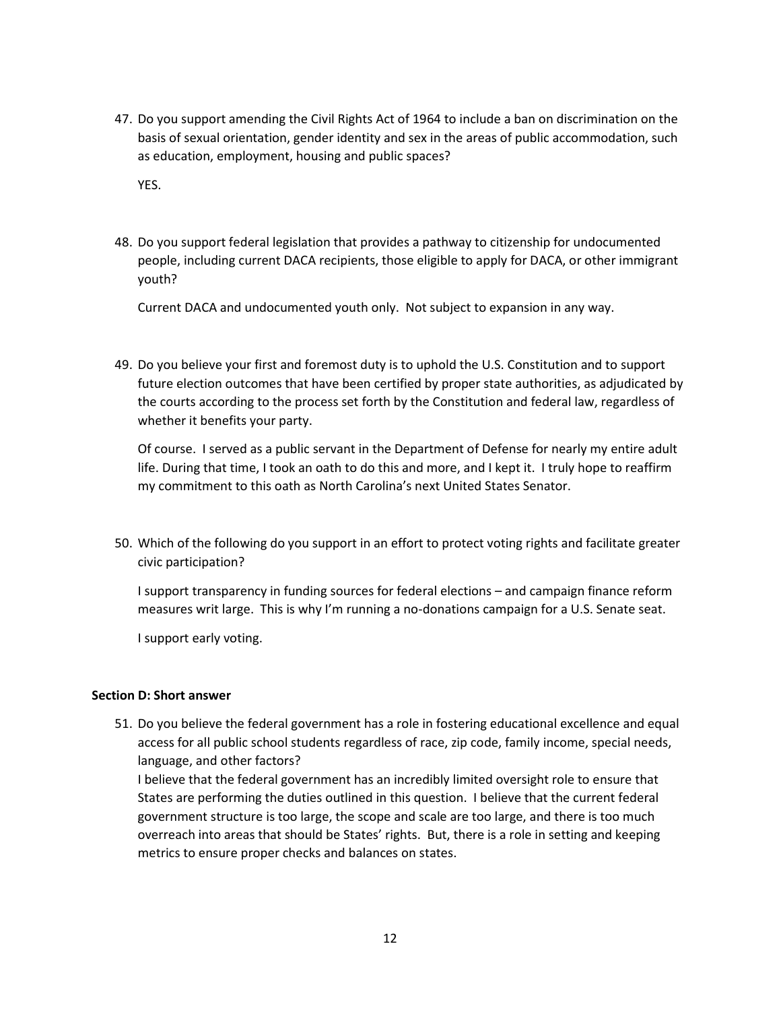47. Do you support amending the Civil Rights Act of 1964 to include a ban on discrimination on the basis of sexual orientation, gender identity and sex in the areas of public accommodation, such as education, employment, housing and public spaces?

YES.

48. Do you support federal legislation that provides a pathway to citizenship for undocumented people, including current DACA recipients, those eligible to apply for DACA, or other immigrant youth?

Current DACA and undocumented youth only. Not subject to expansion in any way.

49. Do you believe your first and foremost duty is to uphold the U.S. Constitution and to support future election outcomes that have been certified by proper state authorities, as adjudicated by the courts according to the process set forth by the Constitution and federal law, regardless of whether it benefits your party.

Of course. I served as a public servant in the Department of Defense for nearly my entire adult life. During that time, I took an oath to do this and more, and I kept it. I truly hope to reaffirm my commitment to this oath as North Carolina's next United States Senator.

50. Which of the following do you support in an effort to protect voting rights and facilitate greater civic participation?

I support transparency in funding sources for federal elections – and campaign finance reform measures writ large. This is why I'm running a no-donations campaign for a U.S. Senate seat.

I support early voting.

#### Section D: Short answer

51. Do you believe the federal government has a role in fostering educational excellence and equal access for all public school students regardless of race, zip code, family income, special needs, language, and other factors?

I believe that the federal government has an incredibly limited oversight role to ensure that States are performing the duties outlined in this question. I believe that the current federal government structure is too large, the scope and scale are too large, and there is too much overreach into areas that should be States' rights. But, there is a role in setting and keeping metrics to ensure proper checks and balances on states.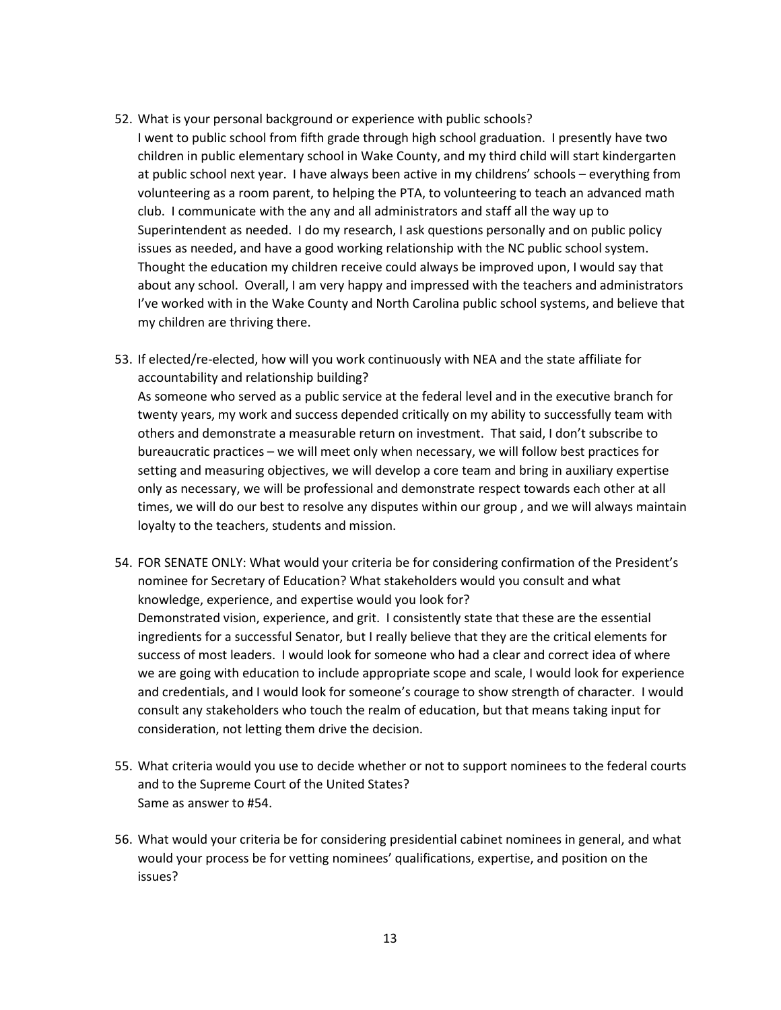- 52. What is your personal background or experience with public schools?
- I went to public school from fifth grade through high school graduation. I presently have two children in public elementary school in Wake County, and my third child will start kindergarten at public school next year. I have always been active in my childrens' schools – everything from volunteering as a room parent, to helping the PTA, to volunteering to teach an advanced math club. I communicate with the any and all administrators and staff all the way up to Superintendent as needed. I do my research, I ask questions personally and on public policy issues as needed, and have a good working relationship with the NC public school system. Thought the education my children receive could always be improved upon, I would say that about any school. Overall, I am very happy and impressed with the teachers and administrators I've worked with in the Wake County and North Carolina public school systems, and believe that my children are thriving there.
- 53. If elected/re-elected, how will you work continuously with NEA and the state affiliate for accountability and relationship building? As someone who served as a public service at the federal level and in the executive branch for twenty years, my work and success depended critically on my ability to successfully team with others and demonstrate a measurable return on investment. That said, I don't subscribe to bureaucratic practices – we will meet only when necessary, we will follow best practices for setting and measuring objectives, we will develop a core team and bring in auxiliary expertise only as necessary, we will be professional and demonstrate respect towards each other at all times, we will do our best to resolve any disputes within our group , and we will always maintain loyalty to the teachers, students and mission.
- 54. FOR SENATE ONLY: What would your criteria be for considering confirmation of the President's nominee for Secretary of Education? What stakeholders would you consult and what knowledge, experience, and expertise would you look for? Demonstrated vision, experience, and grit. I consistently state that these are the essential ingredients for a successful Senator, but I really believe that they are the critical elements for success of most leaders. I would look for someone who had a clear and correct idea of where we are going with education to include appropriate scope and scale, I would look for experience and credentials, and I would look for someone's courage to show strength of character. I would consult any stakeholders who touch the realm of education, but that means taking input for consideration, not letting them drive the decision.
- 55. What criteria would you use to decide whether or not to support nominees to the federal courts and to the Supreme Court of the United States? Same as answer to #54.
- 56. What would your criteria be for considering presidential cabinet nominees in general, and what would your process be for vetting nominees' qualifications, expertise, and position on the issues?